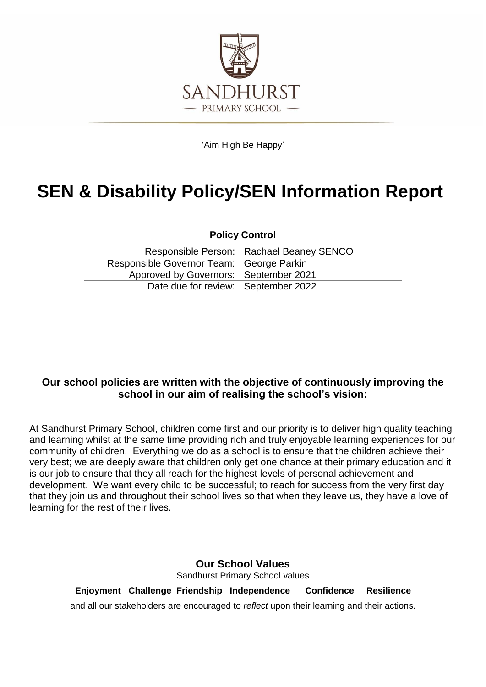

'Aim High Be Happy'

# **SEN & Disability Policy/SEN Information Report**

| <b>Policy Control</b>                      |                                            |
|--------------------------------------------|--------------------------------------------|
|                                            | Responsible Person:   Rachael Beaney SENCO |
| Responsible Governor Team:   George Parkin |                                            |
| Approved by Governors:   September 2021    |                                            |
| Date due for review: September 2022        |                                            |
|                                            |                                            |

## **Our school policies are written with the objective of continuously improving the school in our aim of realising the school's vision:**

At Sandhurst Primary School, children come first and our priority is to deliver high quality teaching and learning whilst at the same time providing rich and truly enjoyable learning experiences for our community of children. Everything we do as a school is to ensure that the children achieve their very best; we are deeply aware that children only get one chance at their primary education and it is our job to ensure that they all reach for the highest levels of personal achievement and development. We want every child to be successful; to reach for success from the very first day that they join us and throughout their school lives so that when they leave us, they have a love of learning for the rest of their lives.

> **Our School Values** Sandhurst Primary School values **Enjoyment Challenge Friendship Independence Confidence Resilience**

and all our stakeholders are encouraged to *reflect* upon their learning and their actions.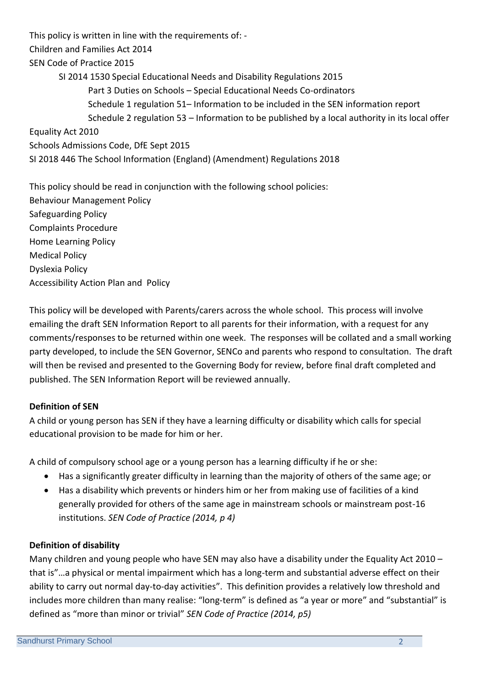This policy is written in line with the requirements of: - Children and Families Act 2014 SEN Code of Practice 2015 SI 2014 1530 Special Educational Needs and Disability Regulations 2015 Part 3 Duties on Schools – Special Educational Needs Co-ordinators Schedule 1 regulation 51– Information to be included in the SEN information report Schedule 2 regulation 53 – Information to be published by a local authority in its local offer Equality Act 2010 Schools Admissions Code, DfE Sept 2015 SI 2018 446 The School Information (England) (Amendment) Regulations 2018 This policy should be read in conjunction with the following school policies:

Behaviour Management Policy Safeguarding Policy Complaints Procedure Home Learning Policy Medical Policy Dyslexia Policy Accessibility Action Plan and Policy

This policy will be developed with Parents/carers across the whole school. This process will involve emailing the draft SEN Information Report to all parents for their information, with a request for any comments/responses to be returned within one week. The responses will be collated and a small working party developed, to include the SEN Governor, SENCo and parents who respond to consultation. The draft will then be revised and presented to the Governing Body for review, before final draft completed and published. The SEN Information Report will be reviewed annually.

#### **Definition of SEN**

A child or young person has SEN if they have a learning difficulty or disability which calls for special educational provision to be made for him or her.

A child of compulsory school age or a young person has a learning difficulty if he or she:

- Has a significantly greater difficulty in learning than the majority of others of the same age; or
- Has a disability which prevents or hinders him or her from making use of facilities of a kind generally provided for others of the same age in mainstream schools or mainstream post-16 institutions. *SEN Code of Practice (2014, p 4)*

#### **Definition of disability**

Many children and young people who have SEN may also have a disability under the Equality Act 2010 – that is"…a physical or mental impairment which has a long-term and substantial adverse effect on their ability to carry out normal day-to-day activities". This definition provides a relatively low threshold and includes more children than many realise: "long-term" is defined as "a year or more" and "substantial" is defined as "more than minor or trivial" *SEN Code of Practice (2014, p5)*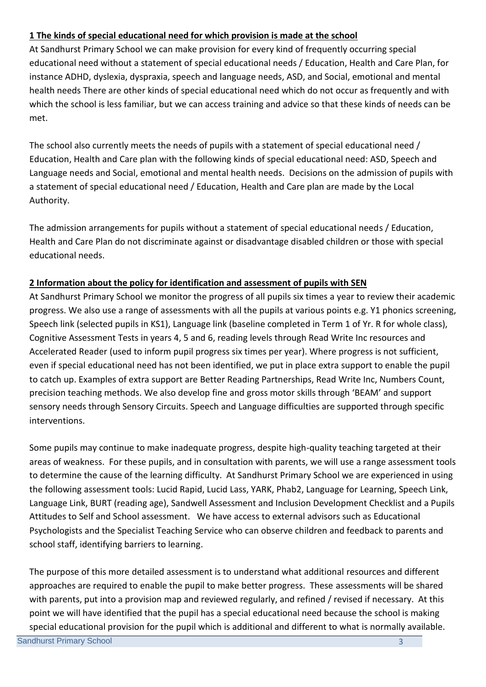#### **1 The kinds of special educational need for which provision is made at the school**

At Sandhurst Primary School we can make provision for every kind of frequently occurring special educational need without a statement of special educational needs / Education, Health and Care Plan, for instance ADHD, dyslexia, dyspraxia, speech and language needs, ASD, and Social, emotional and mental health needs There are other kinds of special educational need which do not occur as frequently and with which the school is less familiar, but we can access training and advice so that these kinds of needs can be met.

The school also currently meets the needs of pupils with a statement of special educational need / Education, Health and Care plan with the following kinds of special educational need: ASD, Speech and Language needs and Social, emotional and mental health needs. Decisions on the admission of pupils with a statement of special educational need / Education, Health and Care plan are made by the Local Authority.

The admission arrangements for pupils without a statement of special educational needs / Education, Health and Care Plan do not discriminate against or disadvantage disabled children or those with special educational needs.

#### **2 Information about the policy for identification and assessment of pupils with SEN**

At Sandhurst Primary School we monitor the progress of all pupils six times a year to review their academic progress. We also use a range of assessments with all the pupils at various points e.g. Y1 phonics screening, Speech link (selected pupils in KS1), Language link (baseline completed in Term 1 of Yr. R for whole class), Cognitive Assessment Tests in years 4, 5 and 6, reading levels through Read Write Inc resources and Accelerated Reader (used to inform pupil progress six times per year). Where progress is not sufficient, even if special educational need has not been identified, we put in place extra support to enable the pupil to catch up. Examples of extra support are Better Reading Partnerships, Read Write Inc, Numbers Count, precision teaching methods. We also develop fine and gross motor skills through 'BEAM' and support sensory needs through Sensory Circuits. Speech and Language difficulties are supported through specific interventions.

Some pupils may continue to make inadequate progress, despite high-quality teaching targeted at their areas of weakness. For these pupils, and in consultation with parents, we will use a range assessment tools to determine the cause of the learning difficulty. At Sandhurst Primary School we are experienced in using the following assessment tools: Lucid Rapid, Lucid Lass, YARK, Phab2, Language for Learning, Speech Link, Language Link, BURT (reading age), Sandwell Assessment and Inclusion Development Checklist and a Pupils Attitudes to Self and School assessment. We have access to external advisors such as Educational Psychologists and the Specialist Teaching Service who can observe children and feedback to parents and school staff, identifying barriers to learning.

The purpose of this more detailed assessment is to understand what additional resources and different approaches are required to enable the pupil to make better progress. These assessments will be shared with parents, put into a provision map and reviewed regularly, and refined / revised if necessary. At this point we will have identified that the pupil has a special educational need because the school is making special educational provision for the pupil which is additional and different to what is normally available.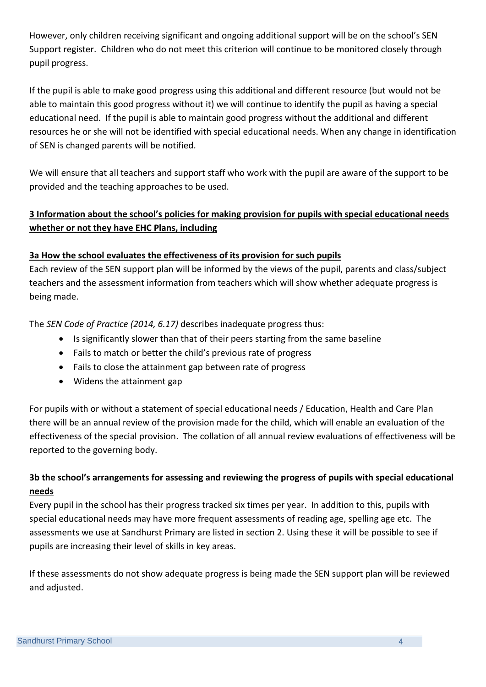However, only children receiving significant and ongoing additional support will be on the school's SEN Support register. Children who do not meet this criterion will continue to be monitored closely through pupil progress.

If the pupil is able to make good progress using this additional and different resource (but would not be able to maintain this good progress without it) we will continue to identify the pupil as having a special educational need. If the pupil is able to maintain good progress without the additional and different resources he or she will not be identified with special educational needs. When any change in identification of SEN is changed parents will be notified.

We will ensure that all teachers and support staff who work with the pupil are aware of the support to be provided and the teaching approaches to be used.

# **3 Information about the school's policies for making provision for pupils with special educational needs whether or not they have EHC Plans, including**

## **3a How the school evaluates the effectiveness of its provision for such pupils**

Each review of the SEN support plan will be informed by the views of the pupil, parents and class/subject teachers and the assessment information from teachers which will show whether adequate progress is being made.

The *SEN Code of Practice (2014, 6.17)* describes inadequate progress thus:

- Is significantly slower than that of their peers starting from the same baseline
- Fails to match or better the child's previous rate of progress
- Fails to close the attainment gap between rate of progress
- Widens the attainment gap

For pupils with or without a statement of special educational needs / Education, Health and Care Plan there will be an annual review of the provision made for the child, which will enable an evaluation of the effectiveness of the special provision. The collation of all annual review evaluations of effectiveness will be reported to the governing body.

#### **3b the school's arrangements for assessing and reviewing the progress of pupils with special educational needs**

Every pupil in the school has their progress tracked six times per year. In addition to this, pupils with special educational needs may have more frequent assessments of reading age, spelling age etc. The assessments we use at Sandhurst Primary are listed in section 2. Using these it will be possible to see if pupils are increasing their level of skills in key areas.

If these assessments do not show adequate progress is being made the SEN support plan will be reviewed and adjusted.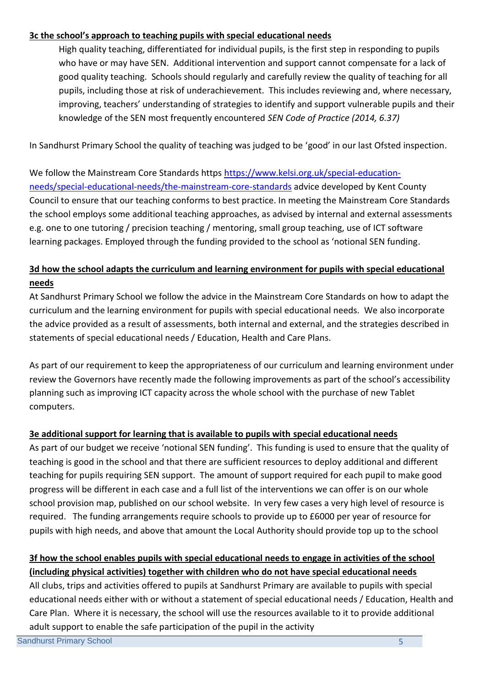#### **3c the school's approach to teaching pupils with special educational needs**

High quality teaching, differentiated for individual pupils, is the first step in responding to pupils who have or may have SEN. Additional intervention and support cannot compensate for a lack of good quality teaching. Schools should regularly and carefully review the quality of teaching for all pupils, including those at risk of underachievement. This includes reviewing and, where necessary, improving, teachers' understanding of strategies to identify and support vulnerable pupils and their knowledge of the SEN most frequently encountered *SEN Code of Practice (2014, 6.37)*

In Sandhurst Primary School the quality of teaching was judged to be 'good' in our last Ofsted inspection.

#### We follow the Mainstream Core Standards https [https://www.kelsi.org.uk/special-education-](https://www.kelsi.org.uk/special-education-needs/special-educational-needs/the-mainstream-core-standards)

[needs/special-educational-needs/the-mainstream-core-standards](https://www.kelsi.org.uk/special-education-needs/special-educational-needs/the-mainstream-core-standards) advice developed by Kent County Council to ensure that our teaching conforms to best practice. In meeting the Mainstream Core Standards the school employs some additional teaching approaches, as advised by internal and external assessments e.g. one to one tutoring / precision teaching / mentoring, small group teaching, use of ICT software learning packages. Employed through the funding provided to the school as 'notional SEN funding.

#### **3d how the school adapts the curriculum and learning environment for pupils with special educational needs**

At Sandhurst Primary School we follow the advice in the Mainstream Core Standards on how to adapt the curriculum and the learning environment for pupils with special educational needs. We also incorporate the advice provided as a result of assessments, both internal and external, and the strategies described in statements of special educational needs / Education, Health and Care Plans.

As part of our requirement to keep the appropriateness of our curriculum and learning environment under review the Governors have recently made the following improvements as part of the school's accessibility planning such as improving ICT capacity across the whole school with the purchase of new Tablet computers.

#### **3e additional support for learning that is available to pupils with special educational needs**

As part of our budget we receive 'notional SEN funding'. This funding is used to ensure that the quality of teaching is good in the school and that there are sufficient resources to deploy additional and different teaching for pupils requiring SEN support. The amount of support required for each pupil to make good progress will be different in each case and a full list of the interventions we can offer is on our whole school provision map, published on our school website. In very few cases a very high level of resource is required. The funding arrangements require schools to provide up to £6000 per year of resource for pupils with high needs, and above that amount the Local Authority should provide top up to the school

## **3f how the school enables pupils with special educational needs to engage in activities of the school (including physical activities) together with children who do not have special educational needs**

All clubs, trips and activities offered to pupils at Sandhurst Primary are available to pupils with special educational needs either with or without a statement of special educational needs / Education, Health and Care Plan. Where it is necessary, the school will use the resources available to it to provide additional adult support to enable the safe participation of the pupil in the activity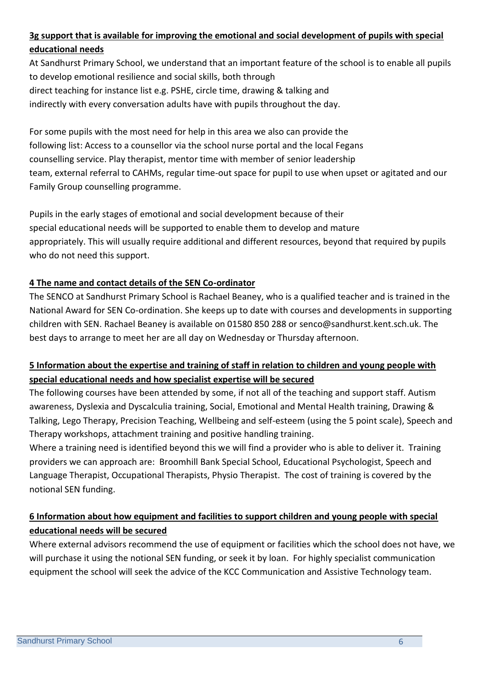# **3g support that is available for improving the emotional and social development of pupils with special educational needs**

At Sandhurst Primary School, we understand that an important feature of the school is to enable all pupils to develop emotional resilience and social skills, both through direct teaching for instance list e.g. PSHE, circle time, drawing & talking and indirectly with every conversation adults have with pupils throughout the day.

For some pupils with the most need for help in this area we also can provide the following list: Access to a counsellor via the school nurse portal and the local Fegans counselling service. Play therapist, mentor time with member of senior leadership team, external referral to CAHMs, regular time-out space for pupil to use when upset or agitated and our Family Group counselling programme.

Pupils in the early stages of emotional and social development because of their special educational needs will be supported to enable them to develop and mature appropriately. This will usually require additional and different resources, beyond that required by pupils who do not need this support.

## **4 The name and contact details of the SEN Co-ordinator**

The SENCO at Sandhurst Primary School is Rachael Beaney, who is a qualified teacher and is trained in the National Award for SEN Co-ordination. She keeps up to date with courses and developments in supporting children with SEN. Rachael Beaney is available on 01580 850 288 or senco@sandhurst.kent.sch.uk. The best days to arrange to meet her are all day on Wednesday or Thursday afternoon.

## **5 Information about the expertise and training of staff in relation to children and young people with special educational needs and how specialist expertise will be secured**

The following courses have been attended by some, if not all of the teaching and support staff. Autism awareness, Dyslexia and Dyscalculia training, Social, Emotional and Mental Health training, Drawing & Talking, Lego Therapy, Precision Teaching, Wellbeing and self-esteem (using the 5 point scale), Speech and Therapy workshops, attachment training and positive handling training.

Where a training need is identified beyond this we will find a provider who is able to deliver it. Training providers we can approach are: Broomhill Bank Special School, Educational Psychologist, Speech and Language Therapist, Occupational Therapists, Physio Therapist. The cost of training is covered by the notional SEN funding.

# **6 Information about how equipment and facilities to support children and young people with special educational needs will be secured**

Where external advisors recommend the use of equipment or facilities which the school does not have, we will purchase it using the notional SEN funding, or seek it by loan. For highly specialist communication equipment the school will seek the advice of the KCC Communication and Assistive Technology team.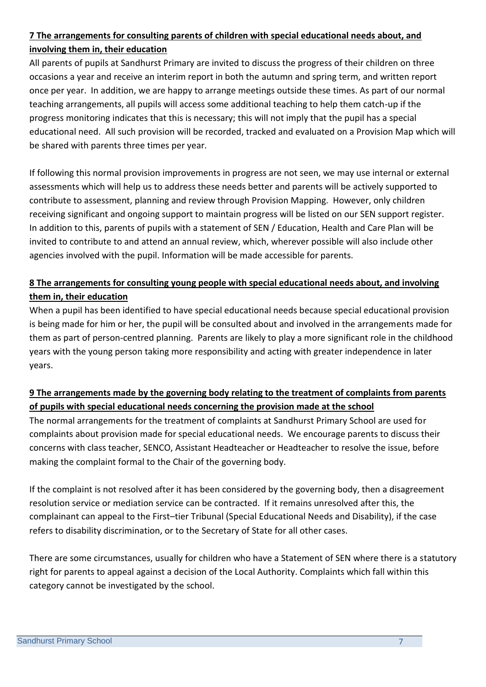# **7 The arrangements for consulting parents of children with special educational needs about, and involving them in, their education**

All parents of pupils at Sandhurst Primary are invited to discuss the progress of their children on three occasions a year and receive an interim report in both the autumn and spring term, and written report once per year. In addition, we are happy to arrange meetings outside these times. As part of our normal teaching arrangements, all pupils will access some additional teaching to help them catch-up if the progress monitoring indicates that this is necessary; this will not imply that the pupil has a special educational need. All such provision will be recorded, tracked and evaluated on a Provision Map which will be shared with parents three times per year.

If following this normal provision improvements in progress are not seen, we may use internal or external assessments which will help us to address these needs better and parents will be actively supported to contribute to assessment, planning and review through Provision Mapping. However, only children receiving significant and ongoing support to maintain progress will be listed on our SEN support register. In addition to this, parents of pupils with a statement of SEN / Education, Health and Care Plan will be invited to contribute to and attend an annual review, which, wherever possible will also include other agencies involved with the pupil. Information will be made accessible for parents.

#### **8 The arrangements for consulting young people with special educational needs about, and involving them in, their education**

When a pupil has been identified to have special educational needs because special educational provision is being made for him or her, the pupil will be consulted about and involved in the arrangements made for them as part of person-centred planning. Parents are likely to play a more significant role in the childhood years with the young person taking more responsibility and acting with greater independence in later years.

# **9 The arrangements made by the governing body relating to the treatment of complaints from parents of pupils with special educational needs concerning the provision made at the school**

The normal arrangements for the treatment of complaints at Sandhurst Primary School are used for complaints about provision made for special educational needs. We encourage parents to discuss their concerns with class teacher, SENCO, Assistant Headteacher or Headteacher to resolve the issue, before making the complaint formal to the Chair of the governing body.

If the complaint is not resolved after it has been considered by the governing body, then a disagreement resolution service or mediation service can be contracted. If it remains unresolved after this, the complainant can appeal to the First–tier Tribunal (Special Educational Needs and Disability), if the case refers to disability discrimination, or to the Secretary of State for all other cases.

There are some circumstances, usually for children who have a Statement of SEN where there is a statutory right for parents to appeal against a decision of the Local Authority. Complaints which fall within this category cannot be investigated by the school.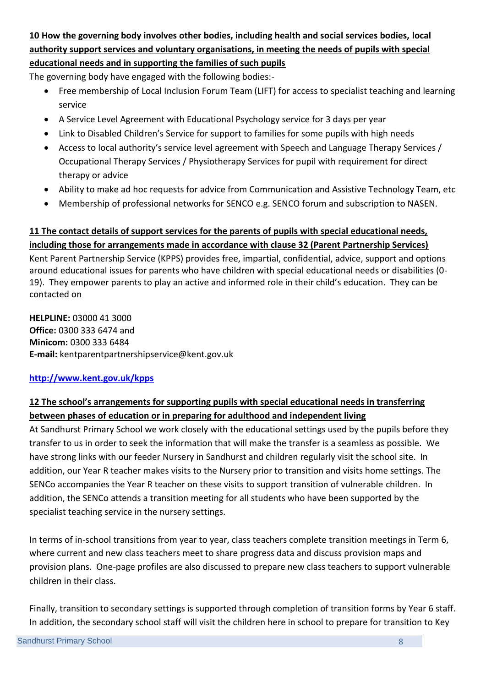**10 How the governing body involves other bodies, including health and social services bodies, local authority support services and voluntary organisations, in meeting the needs of pupils with special educational needs and in supporting the families of such pupils**

The governing body have engaged with the following bodies:-

- Free membership of Local Inclusion Forum Team (LIFT) for access to specialist teaching and learning service
- A Service Level Agreement with Educational Psychology service for 3 days per year
- Link to Disabled Children's Service for support to families for some pupils with high needs
- Access to local authority's service level agreement with Speech and Language Therapy Services / Occupational Therapy Services / Physiotherapy Services for pupil with requirement for direct therapy or advice
- Ability to make ad hoc requests for advice from Communication and Assistive Technology Team, etc
- Membership of professional networks for SENCO e.g. SENCO forum and subscription to NASEN.

# **11 The contact details of support services for the parents of pupils with special educational needs, including those for arrangements made in accordance with clause 32 (Parent Partnership Services)**

Kent Parent Partnership Service (KPPS) provides free, impartial, confidential, advice, support and options around educational issues for parents who have children with special educational needs or disabilities (0- 19). They empower parents to play an active and informed role in their child's education. They can be contacted on

**HELPLINE:** 03000 41 3000 **Office:** 0300 333 6474 and **Minicom:** 0300 333 6484 **E-mail:** kentparentpartnershipservice@kent.gov.uk

#### **<http://www.kent.gov.uk/kpps>**

## **12 The school's arrangements for supporting pupils with special educational needs in transferring between phases of education or in preparing for adulthood and independent living**

At Sandhurst Primary School we work closely with the educational settings used by the pupils before they transfer to us in order to seek the information that will make the transfer is a seamless as possible. We have strong links with our feeder Nursery in Sandhurst and children regularly visit the school site. In addition, our Year R teacher makes visits to the Nursery prior to transition and visits home settings. The SENCo accompanies the Year R teacher on these visits to support transition of vulnerable children. In addition, the SENCo attends a transition meeting for all students who have been supported by the specialist teaching service in the nursery settings.

In terms of in-school transitions from year to year, class teachers complete transition meetings in Term 6, where current and new class teachers meet to share progress data and discuss provision maps and provision plans. One-page profiles are also discussed to prepare new class teachers to support vulnerable children in their class.

Finally, transition to secondary settings is supported through completion of transition forms by Year 6 staff. In addition, the secondary school staff will visit the children here in school to prepare for transition to Key